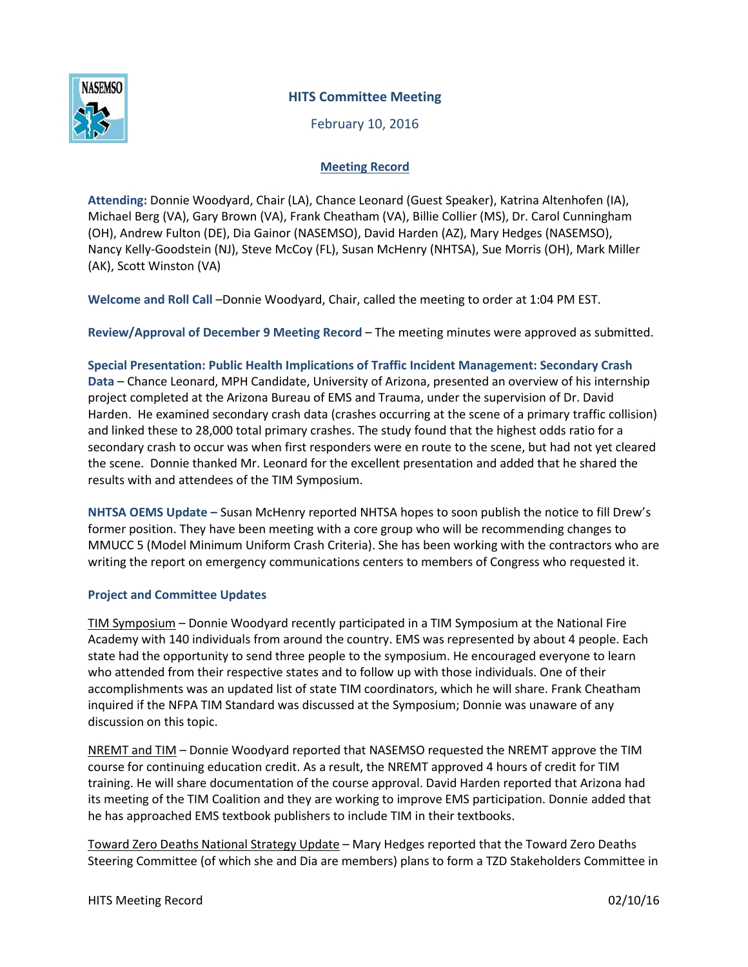

## **HITS Committee Meeting**

February 10, 2016

## **Meeting Record**

**Attending:** Donnie Woodyard, Chair (LA), Chance Leonard (Guest Speaker), Katrina Altenhofen (IA), Michael Berg (VA), Gary Brown (VA), Frank Cheatham (VA), Billie Collier (MS), Dr. Carol Cunningham (OH), Andrew Fulton (DE), Dia Gainor (NASEMSO), David Harden (AZ), Mary Hedges (NASEMSO), Nancy Kelly-Goodstein (NJ), Steve McCoy (FL), Susan McHenry (NHTSA), Sue Morris (OH), Mark Miller (AK), Scott Winston (VA)

**Welcome and Roll Call** –Donnie Woodyard, Chair, called the meeting to order at 1:04 PM EST.

**Review/Approval of December 9 Meeting Record** – The meeting minutes were approved as submitted.

**Special Presentation: Public Health Implications of Traffic Incident Management: Secondary Crash Data** – Chance Leonard, MPH Candidate, University of Arizona, presented an overview of his internship project completed at the Arizona Bureau of EMS and Trauma, under the supervision of Dr. David Harden. He examined secondary crash data (crashes occurring at the scene of a primary traffic collision) and linked these to 28,000 total primary crashes. The study found that the highest odds ratio for a secondary crash to occur was when first responders were en route to the scene, but had not yet cleared the scene. Donnie thanked Mr. Leonard for the excellent presentation and added that he shared the results with and attendees of the TIM Symposium.

**NHTSA OEMS Update –** Susan McHenry reported NHTSA hopes to soon publish the notice to fill Drew's former position. They have been meeting with a core group who will be recommending changes to MMUCC 5 (Model Minimum Uniform Crash Criteria). She has been working with the contractors who are writing the report on emergency communications centers to members of Congress who requested it.

## **Project and Committee Updates**

TIM Symposium – Donnie Woodyard recently participated in a TIM Symposium at the National Fire Academy with 140 individuals from around the country. EMS was represented by about 4 people. Each state had the opportunity to send three people to the symposium. He encouraged everyone to learn who attended from their respective states and to follow up with those individuals. One of their accomplishments was an updated list of state TIM coordinators, which he will share. Frank Cheatham inquired if the NFPA TIM Standard was discussed at the Symposium; Donnie was unaware of any discussion on this topic.

NREMT and TIM – Donnie Woodyard reported that NASEMSO requested the NREMT approve the TIM course for continuing education credit. As a result, the NREMT approved 4 hours of credit for TIM training. He will share documentation of the course approval. David Harden reported that Arizona had its meeting of the TIM Coalition and they are working to improve EMS participation. Donnie added that he has approached EMS textbook publishers to include TIM in their textbooks.

Toward Zero Deaths National Strategy Update – Mary Hedges reported that the Toward Zero Deaths Steering Committee (of which she and Dia are members) plans to form a TZD Stakeholders Committee in